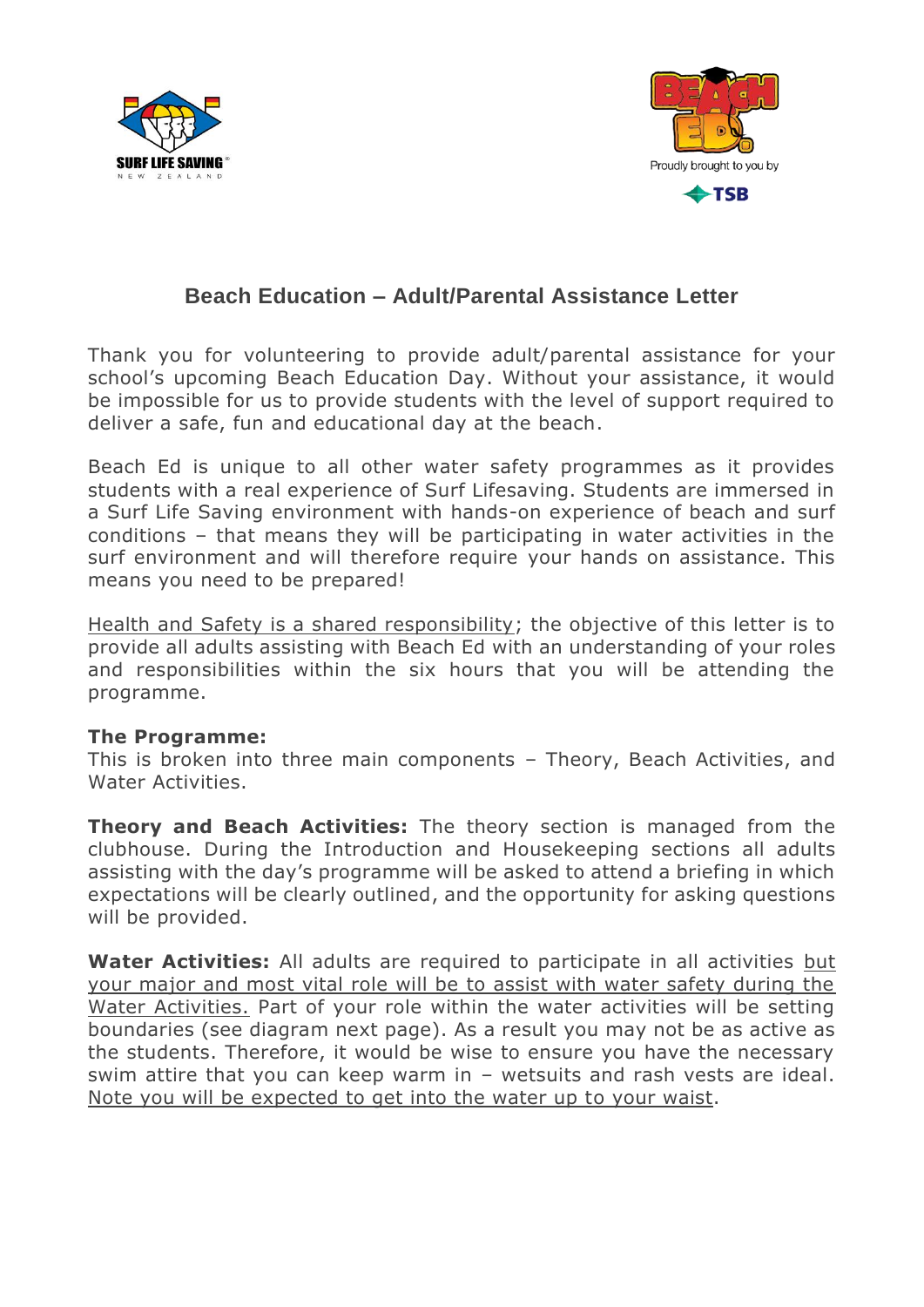



## **Beach Education – Adult/Parental Assistance Letter**

Thank you for volunteering to provide adult/parental assistance for your school's upcoming Beach Education Day. Without your assistance, it would be impossible for us to provide students with the level of support required to deliver a safe, fun and educational day at the beach.

Beach Ed is unique to all other water safety programmes as it provides students with a real experience of Surf Lifesaving. Students are immersed in a Surf Life Saving environment with hands-on experience of beach and surf conditions – that means they will be participating in water activities in the surf environment and will therefore require your hands on assistance. This means you need to be prepared!

Health and Safety is a shared responsibility; the objective of this letter is to provide all adults assisting with Beach Ed with an understanding of your roles and responsibilities within the six hours that you will be attending the programme.

## **The Programme:**

This is broken into three main components – Theory, Beach Activities, and Water Activities.

**Theory and Beach Activities:** The theory section is managed from the clubhouse. During the Introduction and Housekeeping sections all adults assisting with the day's programme will be asked to attend a briefing in which expectations will be clearly outlined, and the opportunity for asking questions will be provided.

**Water Activities:** All adults are required to participate in all activities but your major and most vital role will be to assist with water safety during the Water Activities. Part of your role within the water activities will be setting boundaries (see diagram next page). As a result you may not be as active as the students. Therefore, it would be wise to ensure you have the necessary swim attire that you can keep warm in – wetsuits and rash vests are ideal. Note you will be expected to get into the water up to your waist.